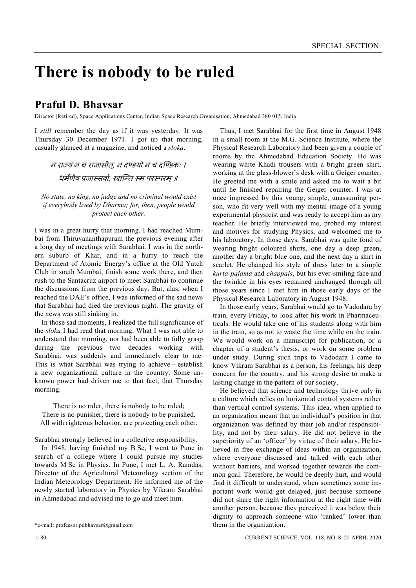## **There is nobody to be ruled**

## **Praful D. Bhavsar**

Director (Retired), Space Applications Center, Indian Space Research Organisation, Ahmedabad 380 015, India

I *still* remember the day as if it was yesterday. It was Thursday 30 December 1971. I got up that morning, casually glanced at a magazine, and noticed a *sloka*.

न राज्यं न च राजासीत. न दण्डयो न च दण्डिकः । धर्मेणैव प्रजास्सर्वा, रक्षन्ति स्म परस्परम् ॥

*No state, no king, no judge and no criminal would exist if everybody lived by Dharma; for, then, people would protect each other.* 

I was in a great hurry that morning. I had reached Mumbai from Thiruvananthapuram the previous evening after a long day of meetings with Sarabhai. I was in the northern suburb of Khar, and in a hurry to reach the Department of Atomic Energy's office at the Old Yatch Club in south Mumbai, finish some work there, and then rush to the Santacruz airport to meet Sarabhai to continue the discussions from the previous day. But, alas, when I reached the DAE's office, I was informed of the sad news that Sarabhai had died the previous night. The gravity of the news was still sinking in.

 In those sad moments, I realized the full significance of the *sloka* I had read that morning. What I was not able to understand that morning, nor had been able to fully grasp during the previous two decades working with Sarabhai, was suddenly and immediately clear to me. This is what Sarabhai was trying to achieve – establish a new organizational culture in the country. Some unknown power had driven me to that fact, that Thursday morning.

There is no ruler, there is nobody to be ruled; There is no punisher, there is nobody to be punished. All with righteous behavior, are protecting each other.

Sarabhai strongly believed in a collective responsibility.

 In 1948, having finished my B Sc, I went to Pune in search of a college where I could pursue my studies towards M Sc in Physics. In Pune, I met L. A. Ramdas, Director of the Agricultural Meteorology section of the Indian Meteorology Department. He informed me of the newly started laboratory in Physics by Vikram Sarabhai in Ahmedabad and advised me to go and meet him.

 Thus, I met Sarabhai for the first time in August 1948 in a small room at the M.G. Science Institute, where the Physical Research Laboratory had been given a couple of rooms by the Ahmedabad Education Society. He was wearing white Khadi trousers with a bright green shirt, working at the glass-blower's desk with a Geiger counter. He greeted me with a smile and asked me to wait a bit until he finished repairing the Geiger counter. I was at once impressed by this young, simple, unassuming person, who fit very well with my mental image of a young experimental physicist and was ready to accept him as my teacher. He briefly interviewed me, probed my interest and motives for studying Physics, and welcomed me to his laboratory. In those days, Sarabhai was quite fond of wearing bright coloured shirts, one day a deep green, another day a bright blue one, and the next day a shirt in scarlet. He changed his style of dress later to a simple *kurta-pajama* and *chappals*, but his ever-smiling face and the twinkle in his eyes remained unchanged through all those years since I met him in those early days of the Physical Research Laboratory in August 1948.

 In those early years, Sarabhai would go to Vadodara by train, every Friday, to look after his work in Pharmaceuticals. He would take one of his students along with him in the train, so as not to waste the time while on the train. We would work on a manuscript for publication, or a chapter of a student's thesis, or work on some problem under study. During such trips to Vadodara I came to know Vikram Sarabhai as a person, his feelings, his deep concern for the country, and his strong desire to make a lasting change in the pattern of our society.

 He believed that science and technology thrive only in a culture which relies on horizontal control systems rather than vertical control systems. This idea, when applied to an organization meant that an individual's position in that organization was defined by their job and/or responsibility, and not by their salary. He did not believe in the superiority of an 'officer' by virtue of their salary. He believed in free exchange of ideas within an organization, where everyone discussed and talked with each other without barriers, and worked together towards the common goal. Therefore, he would be deeply hurt, and would find it difficult to understand, when sometimes some important work would get delayed, just because someone did not share the right information at the right time with another person, because they perceived it was below their dignity to approach someone who 'ranked' lower than them in the organization.

<sup>\*</sup>e-mail: professor.pdbhavsar@gmail.com